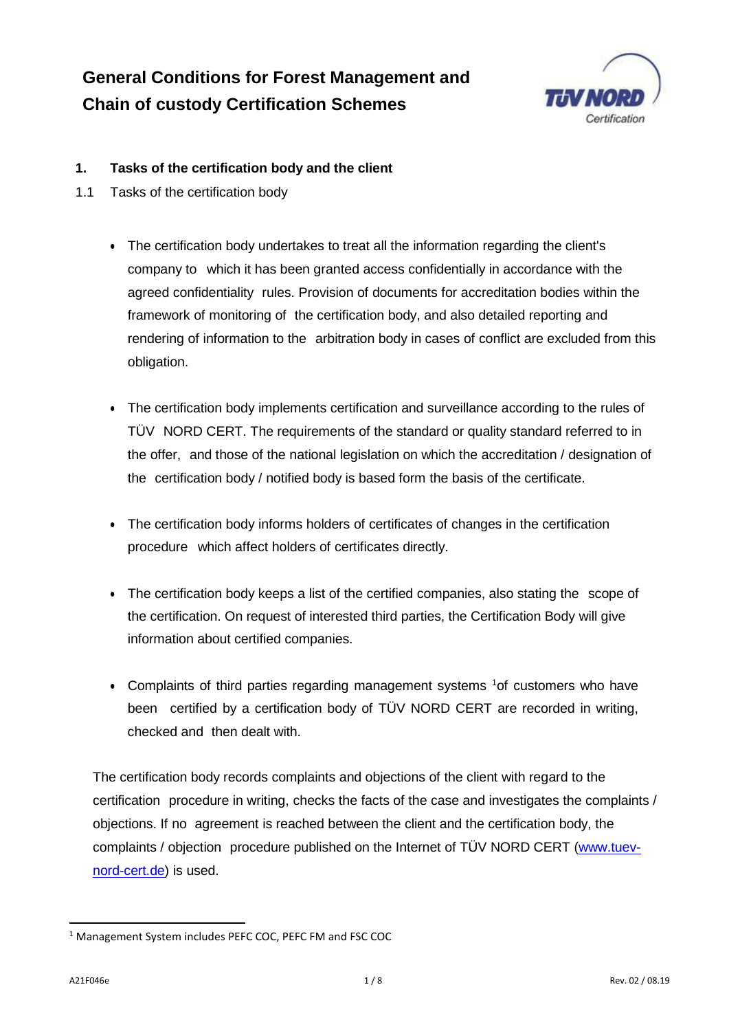# **General Conditions for Forest Management and Chain of custody Certification Schemes**



## **1. Tasks of the certification body and the client**

- 1.1 Tasks of the certification body
	- The certification body undertakes to treat all the information regarding the client's company to which it has been granted access confidentially in accordance with the agreed confidentiality rules. Provision of documents for accreditation bodies within the framework of monitoring of the certification body, and also detailed reporting and rendering of information to the arbitration body in cases of conflict are excluded from this obligation.
	- The certification body implements certification and surveillance according to the rules of TÜV NORD CERT. The requirements of the standard or quality standard referred to in the offer, and those of the national legislation on which the accreditation / designation of the certification body / notified body is based form the basis of the certificate.
	- The certification body informs holders of certificates of changes in the certification procedure which affect holders of certificates directly.
	- The certification body keeps a list of the certified companies, also stating the scope of the certification. On request of interested third parties, the Certification Body will give information about certified companies.
	- Complaints of third parties regarding management systems  $1$ of customers who have been certified by a certification body of TÜV NORD CERT are recorded in writing, checked and then dealt with.

The certification body records complaints and objections of the client with regard to the certification procedure in writing, checks the facts of the case and investigates the complaints / objections. If no agreement is reached between the client and the certification body, the complaints / objection procedure published on the Internet of TÜV NORD CERT [\(www.tuev](http://www.tuev-nord-cert.de/)[nord-cert.de\)](http://www.tuev-nord-cert.de/) is used.

<span id="page-0-0"></span><sup>-</sup><sup>1</sup> Management System includes PEFC COC, PEFC FM and FSC COC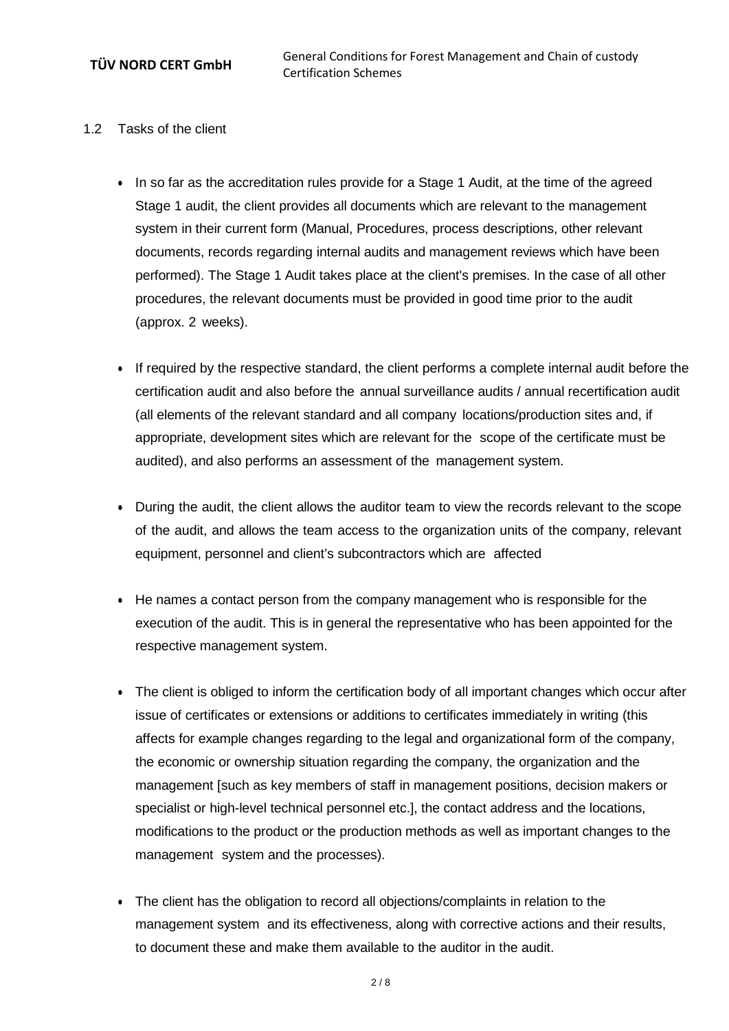- 1.2 Tasks of the client
	- In so far as the accreditation rules provide for a Stage 1 Audit, at the time of the agreed Stage 1 audit, the client provides all documents which are relevant to the management system in their current form (Manual, Procedures, process descriptions, other relevant documents, records regarding internal audits and management reviews which have been performed). The Stage 1 Audit takes place at the client's premises. In the case of all other procedures, the relevant documents must be provided in good time prior to the audit (approx. 2 weeks).
	- If required by the respective standard, the client performs a complete internal audit before the certification audit and also before the annual surveillance audits / annual recertification audit (all elements of the relevant standard and all company locations/production sites and, if appropriate, development sites which are relevant for the scope of the certificate must be audited), and also performs an assessment of the management system.
	- During the audit, the client allows the auditor team to view the records relevant to the scope of the audit, and allows the team access to the organization units of the company, relevant equipment, personnel and client's subcontractors which are affected
	- He names a contact person from the company management who is responsible for the execution of the audit. This is in general the representative who has been appointed for the respective management system.
	- The client is obliged to inform the certification body of all important changes which occur after issue of certificates or extensions or additions to certificates immediately in writing (this affects for example changes regarding to the legal and organizational form of the company, the economic or ownership situation regarding the company, the organization and the management [such as key members of staff in management positions, decision makers or specialist or high-level technical personnel etc.], the contact address and the locations, modifications to the product or the production methods as well as important changes to the management system and the processes).
	- The client has the obligation to record all objections/complaints in relation to the management system and its effectiveness, along with corrective actions and their results, to document these and make them available to the auditor in the audit.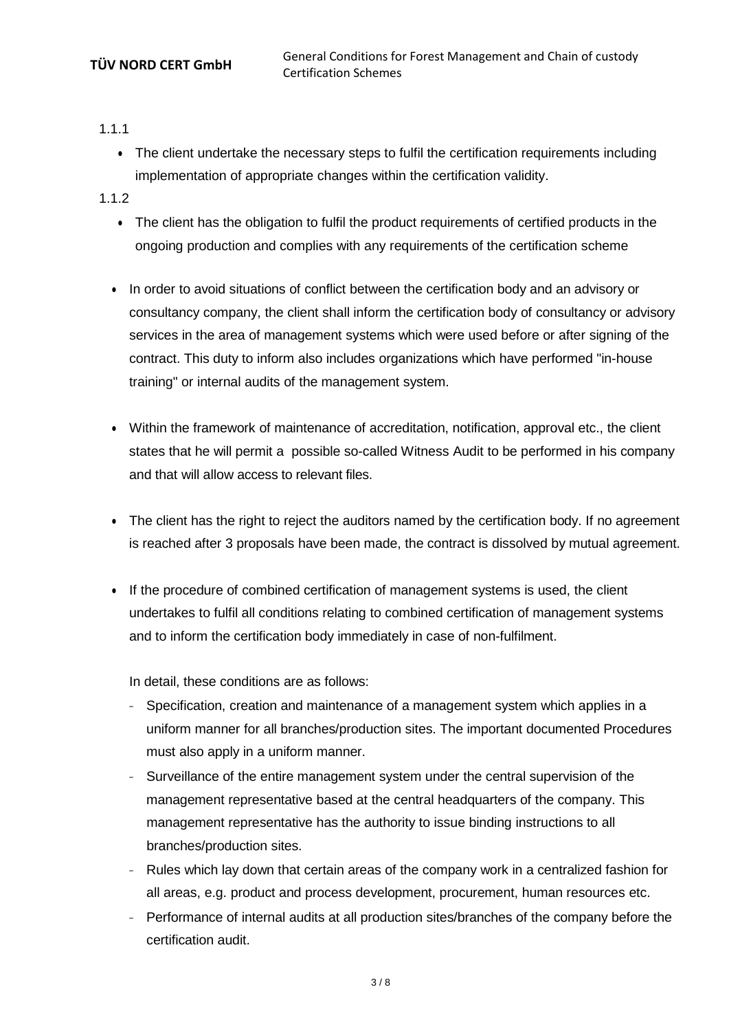1.1.1

• The client undertake the necessary steps to fulfil the certification requirements including implementation of appropriate changes within the certification validity.

1.1.2

- The client has the obligation to fulfil the product requirements of certified products in the ongoing production and complies with any requirements of the certification scheme
- In order to avoid situations of conflict between the certification body and an advisory or consultancy company, the client shall inform the certification body of consultancy or advisory services in the area of management systems which were used before or after signing of the contract. This duty to inform also includes organizations which have performed "in-house training" or internal audits of the management system.
- Within the framework of maintenance of accreditation, notification, approval etc., the client states that he will permit a possible so-called Witness Audit to be performed in his company and that will allow access to relevant files.
- The client has the right to reject the auditors named by the certification body. If no agreement is reached after 3 proposals have been made, the contract is dissolved by mutual agreement.
- If the procedure of combined certification of management systems is used, the client undertakes to fulfil all conditions relating to combined certification of management systems and to inform the certification body immediately in case of non-fulfilment.

In detail, these conditions are as follows:

- <sup>−</sup> Specification, creation and maintenance of a management system which applies in a uniform manner for all branches/production sites. The important documented Procedures must also apply in a uniform manner.
- <sup>−</sup> Surveillance of the entire management system under the central supervision of the management representative based at the central headquarters of the company. This management representative has the authority to issue binding instructions to all branches/production sites.
- <sup>−</sup> Rules which lay down that certain areas of the company work in a centralized fashion for all areas, e.g. product and process development, procurement, human resources etc.
- Performance of internal audits at all production sites/branches of the company before the certification audit.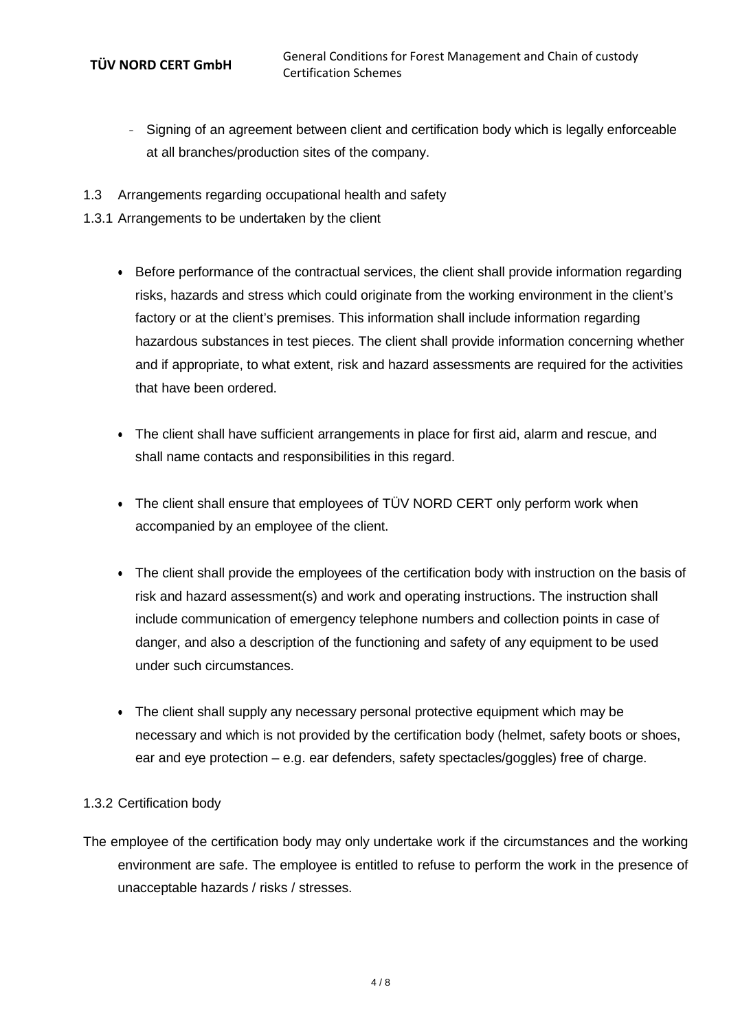- <sup>−</sup> Signing of an agreement between client and certification body which is legally enforceable at all branches/production sites of the company.
- 1.3 Arrangements regarding occupational health and safety
- 1.3.1 Arrangements to be undertaken by the client
	- Before performance of the contractual services, the client shall provide information regarding risks, hazards and stress which could originate from the working environment in the client's factory or at the client's premises. This information shall include information regarding hazardous substances in test pieces. The client shall provide information concerning whether and if appropriate, to what extent, risk and hazard assessments are required for the activities that have been ordered.
	- The client shall have sufficient arrangements in place for first aid, alarm and rescue, and shall name contacts and responsibilities in this regard.
	- The client shall ensure that employees of TÜV NORD CERT only perform work when accompanied by an employee of the client.
	- The client shall provide the employees of the certification body with instruction on the basis of risk and hazard assessment(s) and work and operating instructions. The instruction shall include communication of emergency telephone numbers and collection points in case of danger, and also a description of the functioning and safety of any equipment to be used under such circumstances.
	- The client shall supply any necessary personal protective equipment which may be necessary and which is not provided by the certification body (helmet, safety boots or shoes, ear and eye protection – e.g. ear defenders, safety spectacles/goggles) free of charge.

## 1.3.2 Certification body

The employee of the certification body may only undertake work if the circumstances and the working environment are safe. The employee is entitled to refuse to perform the work in the presence of unacceptable hazards / risks / stresses.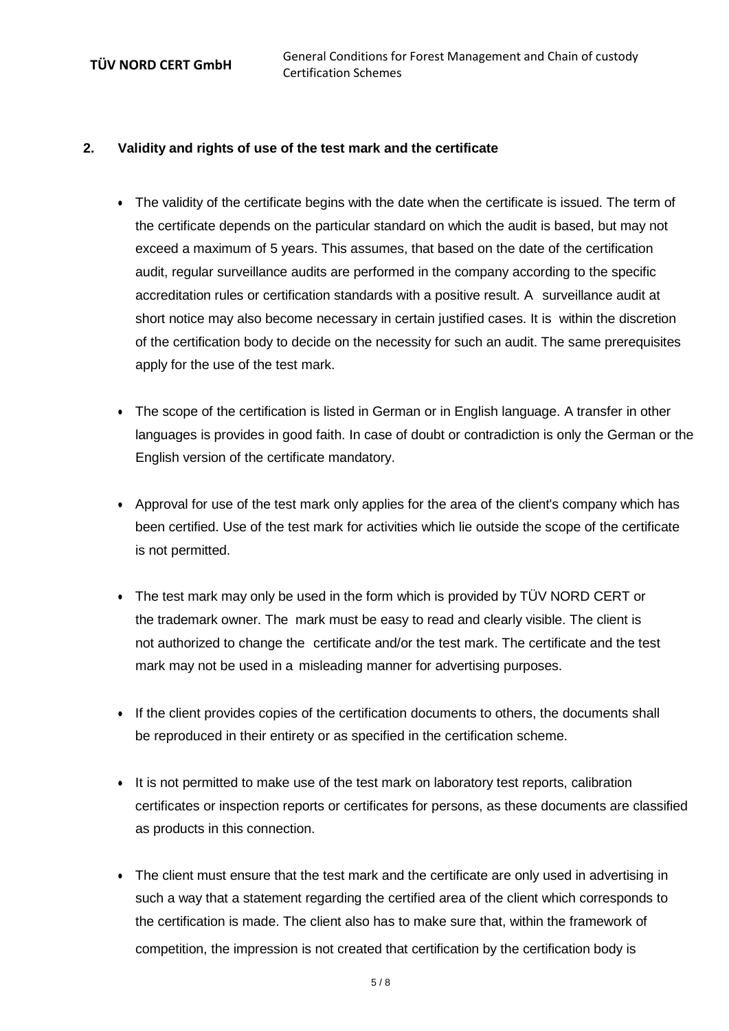#### **2. Validity and rights of use of the test mark and the certificate**

- The validity of the certificate begins with the date when the certificate is issued. The term of the certificate depends on the particular standard on which the audit is based, but may not exceed a maximum of 5 years. This assumes, that based on the date of the certification audit, regular surveillance audits are performed in the company according to the specific accreditation rules or certification standards with a positive result. A surveillance audit at short notice may also become necessary in certain justified cases. It is within the discretion of the certification body to decide on the necessity for such an audit. The same prerequisites apply for the use of the test mark.
- The scope of the certification is listed in German or in English language. A transfer in other languages is provides in good faith. In case of doubt or contradiction is only the German or the English version of the certificate mandatory.
- Approval for use of the test mark only applies for the area of the client's company which has been certified. Use of the test mark for activities which lie outside the scope of the certificate is not permitted.
- The test mark may only be used in the form which is provided by TÜV NORD CERT or the trademark owner. The mark must be easy to read and clearly visible. The client is not authorized to change the certificate and/or the test mark. The certificate and the test mark may not be used in a misleading manner for advertising purposes.
- If the client provides copies of the certification documents to others, the documents shall be reproduced in their entirety or as specified in the certification scheme.
- It is not permitted to make use of the test mark on laboratory test reports, calibration certificates or inspection reports or certificates for persons, as these documents are classified as products in this connection.
- The client must ensure that the test mark and the certificate are only used in advertising in such a way that a statement regarding the certified area of the client which corresponds to the certification is made. The client also has to make sure that, within the framework of competition, the impression is not created that certification by the certification body is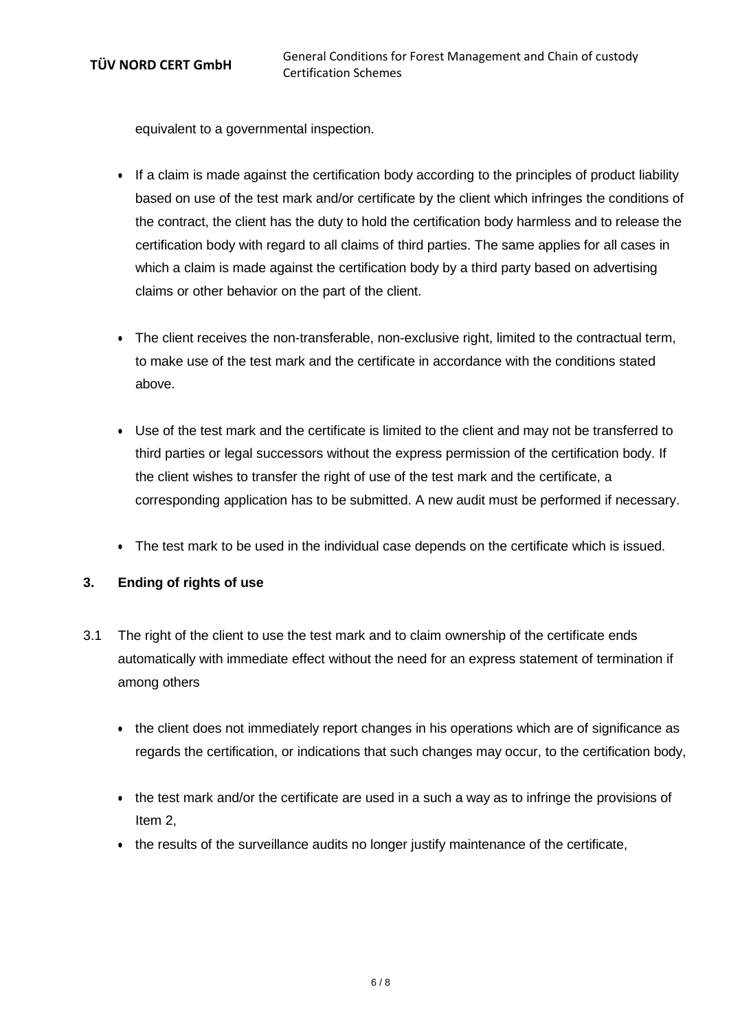equivalent to a governmental inspection.

- If a claim is made against the certification body according to the principles of product liability based on use of the test mark and/or certificate by the client which infringes the conditions of the contract, the client has the duty to hold the certification body harmless and to release the certification body with regard to all claims of third parties. The same applies for all cases in which a claim is made against the certification body by a third party based on advertising claims or other behavior on the part of the client.
- The client receives the non-transferable, non-exclusive right, limited to the contractual term, to make use of the test mark and the certificate in accordance with the conditions stated above.
- Use of the test mark and the certificate is limited to the client and may not be transferred to third parties or legal successors without the express permission of the certification body. If the client wishes to transfer the right of use of the test mark and the certificate, a corresponding application has to be submitted. A new audit must be performed if necessary.
- The test mark to be used in the individual case depends on the certificate which is issued.

## **3. Ending of rights of use**

- 3.1 The right of the client to use the test mark and to claim ownership of the certificate ends automatically with immediate effect without the need for an express statement of termination if among others
	- the client does not immediately report changes in his operations which are of significance as regards the certification, or indications that such changes may occur, to the certification body,
	- the test mark and/or the certificate are used in a such a way as to infringe the provisions of Item 2,
	- the results of the surveillance audits no longer justify maintenance of the certificate,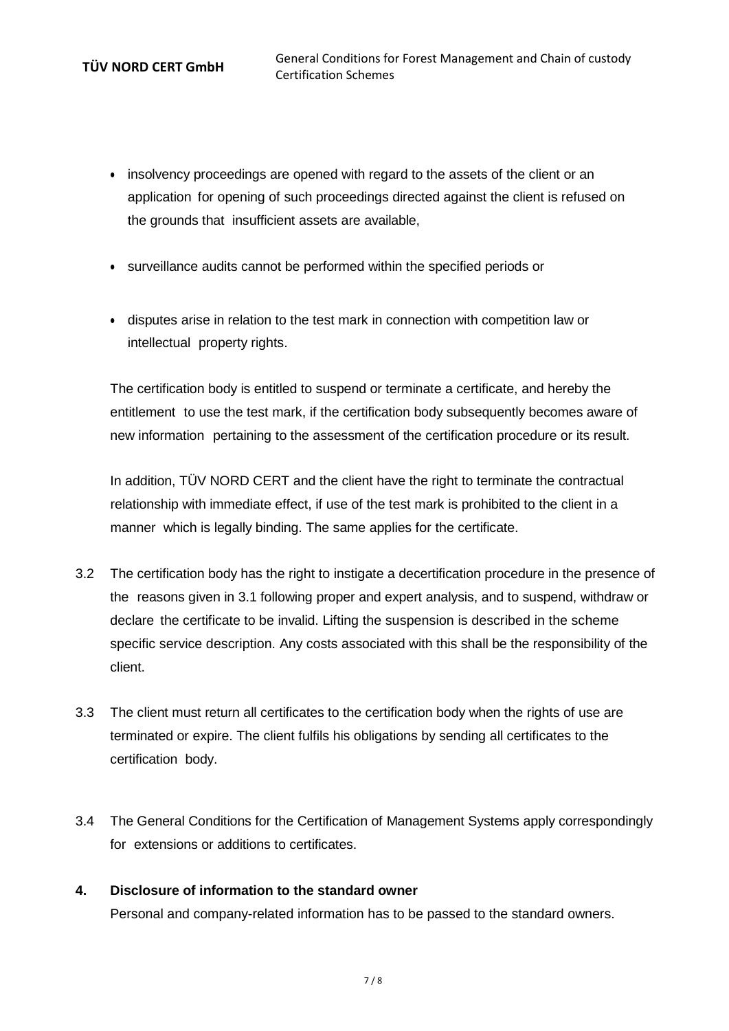- insolvency proceedings are opened with regard to the assets of the client or an application for opening of such proceedings directed against the client is refused on the grounds that insufficient assets are available,
- surveillance audits cannot be performed within the specified periods or
- disputes arise in relation to the test mark in connection with competition law or intellectual property rights.

The certification body is entitled to suspend or terminate a certificate, and hereby the entitlement to use the test mark, if the certification body subsequently becomes aware of new information pertaining to the assessment of the certification procedure or its result.

In addition, TÜV NORD CERT and the client have the right to terminate the contractual relationship with immediate effect, if use of the test mark is prohibited to the client in a manner which is legally binding. The same applies for the certificate.

- 3.2 The certification body has the right to instigate a decertification procedure in the presence of the reasons given in 3.1 following proper and expert analysis, and to suspend, withdraw or declare the certificate to be invalid. Lifting the suspension is described in the scheme specific service description. Any costs associated with this shall be the responsibility of the client.
- 3.3 The client must return all certificates to the certification body when the rights of use are terminated or expire. The client fulfils his obligations by sending all certificates to the certification body.
- 3.4 The General Conditions for the Certification of Management Systems apply correspondingly for extensions or additions to certificates.

## **4. Disclosure of information to the standard owner**

Personal and company-related information has to be passed to the standard owners.